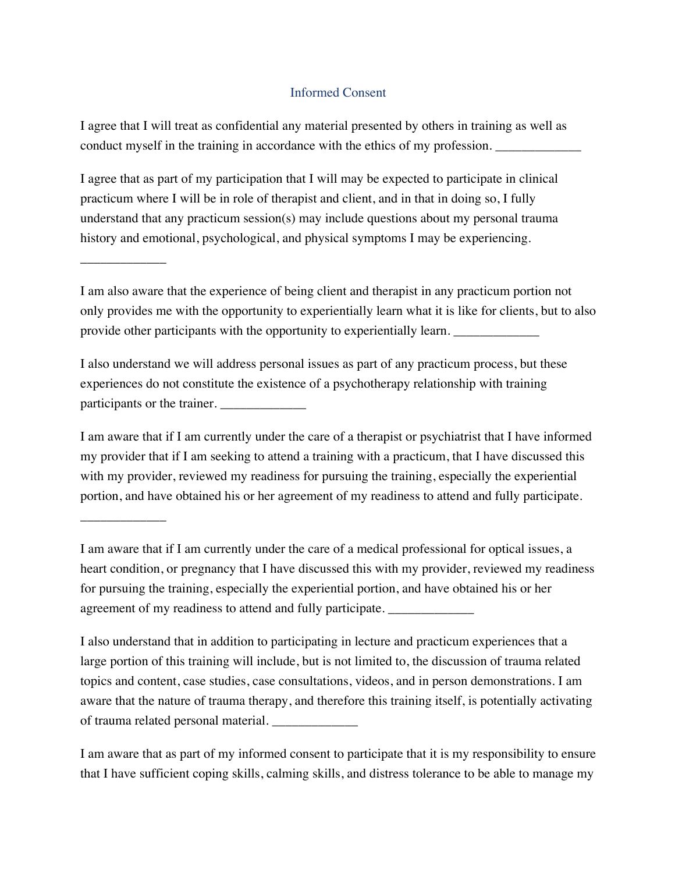## Informed Consent

I agree that I will treat as confidential any material presented by others in training as well as conduct myself in the training in accordance with the ethics of my profession.

I agree that as part of my participation that I will may be expected to participate in clinical practicum where I will be in role of therapist and client, and in that in doing so, I fully understand that any practicum session(s) may include questions about my personal trauma history and emotional, psychological, and physical symptoms I may be experiencing.

\_\_\_\_\_\_\_\_\_\_\_\_\_

\_\_\_\_\_\_\_\_\_\_\_\_\_

I am also aware that the experience of being client and therapist in any practicum portion not only provides me with the opportunity to experientially learn what it is like for clients, but to also provide other participants with the opportunity to experientially learn.

I also understand we will address personal issues as part of any practicum process, but these experiences do not constitute the existence of a psychotherapy relationship with training participants or the trainer.

I am aware that if I am currently under the care of a therapist or psychiatrist that I have informed my provider that if I am seeking to attend a training with a practicum, that I have discussed this with my provider, reviewed my readiness for pursuing the training, especially the experiential portion, and have obtained his or her agreement of my readiness to attend and fully participate.

I am aware that if I am currently under the care of a medical professional for optical issues, a heart condition, or pregnancy that I have discussed this with my provider, reviewed my readiness for pursuing the training, especially the experiential portion, and have obtained his or her agreement of my readiness to attend and fully participate.

I also understand that in addition to participating in lecture and practicum experiences that a large portion of this training will include, but is not limited to, the discussion of trauma related topics and content, case studies, case consultations, videos, and in person demonstrations. I am aware that the nature of trauma therapy, and therefore this training itself, is potentially activating of trauma related personal material. \_\_\_\_\_\_\_\_\_\_\_\_\_

I am aware that as part of my informed consent to participate that it is my responsibility to ensure that I have sufficient coping skills, calming skills, and distress tolerance to be able to manage my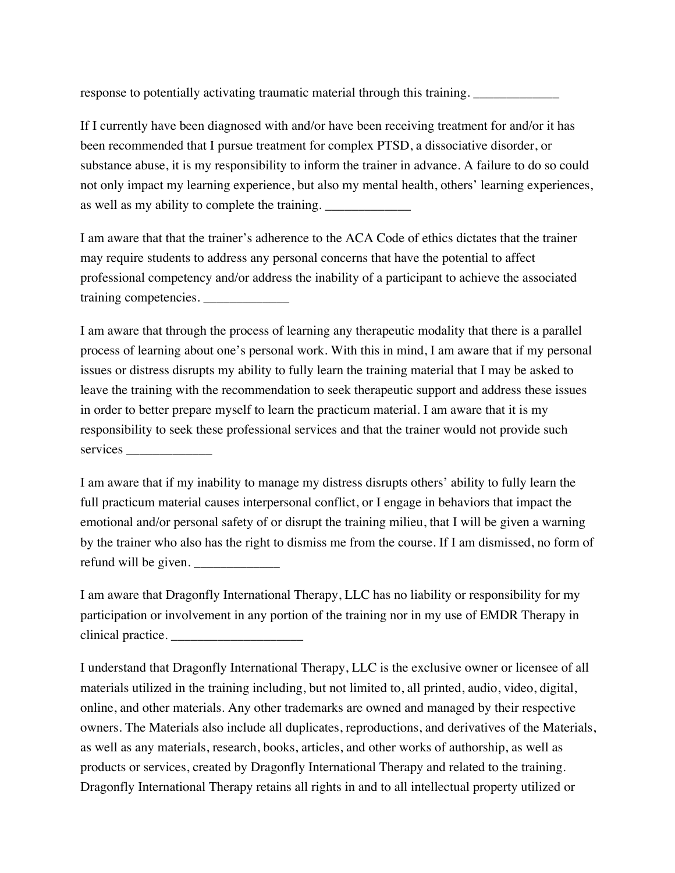response to potentially activating traumatic material through this training.

If I currently have been diagnosed with and/or have been receiving treatment for and/or it has been recommended that I pursue treatment for complex PTSD, a dissociative disorder, or substance abuse, it is my responsibility to inform the trainer in advance. A failure to do so could not only impact my learning experience, but also my mental health, others' learning experiences, as well as my ability to complete the training.

I am aware that that the trainer's adherence to the ACA Code of ethics dictates that the trainer may require students to address any personal concerns that have the potential to affect professional competency and/or address the inability of a participant to achieve the associated training competencies.

I am aware that through the process of learning any therapeutic modality that there is a parallel process of learning about one's personal work. With this in mind, I am aware that if my personal issues or distress disrupts my ability to fully learn the training material that I may be asked to leave the training with the recommendation to seek therapeutic support and address these issues in order to better prepare myself to learn the practicum material. I am aware that it is my responsibility to seek these professional services and that the trainer would not provide such services \_\_\_\_\_\_\_\_\_\_\_\_\_

I am aware that if my inability to manage my distress disrupts others' ability to fully learn the full practicum material causes interpersonal conflict, or I engage in behaviors that impact the emotional and/or personal safety of or disrupt the training milieu, that I will be given a warning by the trainer who also has the right to dismiss me from the course. If I am dismissed, no form of refund will be given. \_\_\_\_\_\_\_\_\_\_\_\_\_

I am aware that Dragonfly International Therapy, LLC has no liability or responsibility for my participation or involvement in any portion of the training nor in my use of EMDR Therapy in clinical practice.

I understand that Dragonfly International Therapy, LLC is the exclusive owner or licensee of all materials utilized in the training including, but not limited to, all printed, audio, video, digital, online, and other materials. Any other trademarks are owned and managed by their respective owners. The Materials also include all duplicates, reproductions, and derivatives of the Materials, as well as any materials, research, books, articles, and other works of authorship, as well as products or services, created by Dragonfly International Therapy and related to the training. Dragonfly International Therapy retains all rights in and to all intellectual property utilized or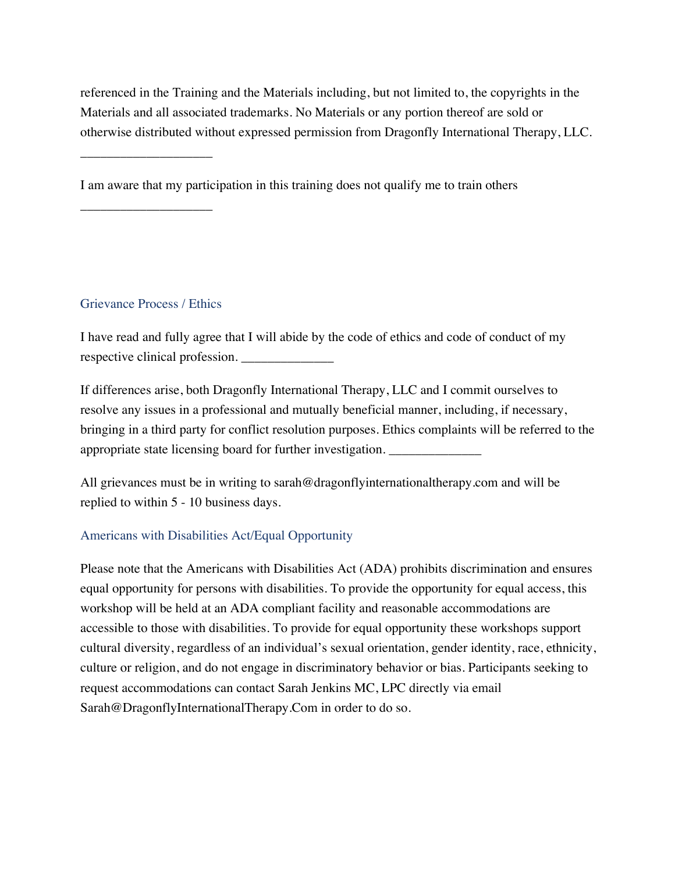referenced in the Training and the Materials including, but not limited to, the copyrights in the Materials and all associated trademarks. No Materials or any portion thereof are sold or otherwise distributed without expressed permission from Dragonfly International Therapy, LLC.

I am aware that my participation in this training does not qualify me to train others

## Grievance Process / Ethics

\_\_\_\_\_\_\_\_\_\_\_\_\_\_\_\_\_\_\_\_

\_\_\_\_\_\_\_\_\_\_\_\_\_\_\_\_\_\_\_\_

I have read and fully agree that I will abide by the code of ethics and code of conduct of my respective clinical profession. \_\_\_\_\_\_\_\_\_\_\_\_\_\_

If differences arise, both Dragonfly International Therapy, LLC and I commit ourselves to resolve any issues in a professional and mutually beneficial manner, including, if necessary, bringing in a third party for conflict resolution purposes. Ethics complaints will be referred to the appropriate state licensing board for further investigation.

All grievances must be in writing to sarah@dragonflyinternationaltherapy.com and will be replied to within 5 - 10 business days.

## Americans with Disabilities Act/Equal Opportunity

Please note that the Americans with Disabilities Act (ADA) prohibits discrimination and ensures equal opportunity for persons with disabilities. To provide the opportunity for equal access, this workshop will be held at an ADA compliant facility and reasonable accommodations are accessible to those with disabilities. To provide for equal opportunity these workshops support cultural diversity, regardless of an individual's sexual orientation, gender identity, race, ethnicity, culture or religion, and do not engage in discriminatory behavior or bias. Participants seeking to request accommodations can contact Sarah Jenkins MC, LPC directly via email Sarah@DragonflyInternationalTherapy.Com in order to do so.